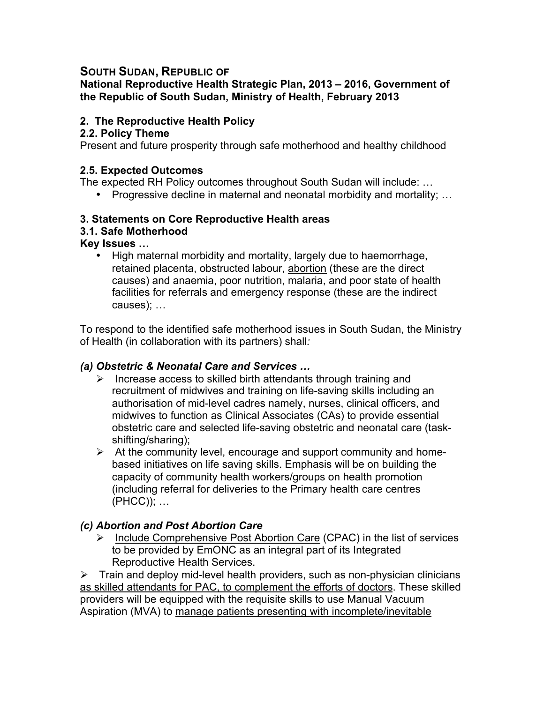# **SOUTH SUDAN, REPUBLIC OF**

**National Reproductive Health Strategic Plan, 2013 – 2016, Government of the Republic of South Sudan, Ministry of Health, February 2013**

# **2. The Reproductive Health Policy**

#### **2.2. Policy Theme**

Present and future prosperity through safe motherhood and healthy childhood

#### **2.5. Expected Outcomes**

The expected RH Policy outcomes throughout South Sudan will include: …

• Progressive decline in maternal and neonatal morbidity and mortality; …

## **3. Statements on Core Reproductive Health areas**

#### **3.1. Safe Motherhood**

**Key Issues …**

• High maternal morbidity and mortality, largely due to haemorrhage, retained placenta, obstructed labour, abortion (these are the direct causes) and anaemia, poor nutrition, malaria, and poor state of health facilities for referrals and emergency response (these are the indirect causes); …

To respond to the identified safe motherhood issues in South Sudan, the Ministry of Health (in collaboration with its partners) shall*:* 

## *(a) Obstetric & Neonatal Care and Services …*

- $\triangleright$  Increase access to skilled birth attendants through training and recruitment of midwives and training on life-saving skills including an authorisation of mid-level cadres namely, nurses, clinical officers, and midwives to function as Clinical Associates (CAs) to provide essential obstetric care and selected life-saving obstetric and neonatal care (taskshifting/sharing);
- $\triangleright$  At the community level, encourage and support community and homebased initiatives on life saving skills. Emphasis will be on building the capacity of community health workers/groups on health promotion (including referral for deliveries to the Primary health care centres (PHCC)); …

## *(c) Abortion and Post Abortion Care*

 $\triangleright$  Include Comprehensive Post Abortion Care (CPAC) in the list of services to be provided by EmONC as an integral part of its Integrated Reproductive Health Services.

 $\triangleright$  Train and deploy mid-level health providers, such as non-physician clinicians as skilled attendants for PAC, to complement the efforts of doctors. These skilled providers will be equipped with the requisite skills to use Manual Vacuum Aspiration (MVA) to manage patients presenting with incomplete/inevitable